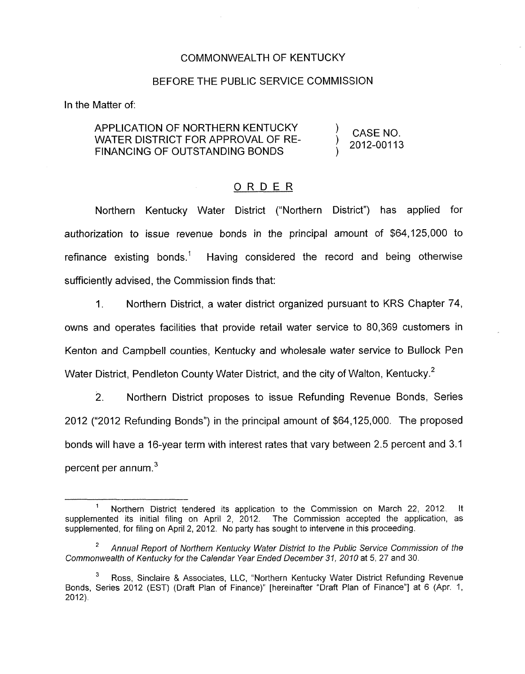### COMMONWEALTH OF KENTUCKY

# BEFORE THE PUBLIC SERVICE COMMISSION

In the Matter of:

#### ) CASE NO. ) 2012-00113 APPLICATION OF NORTHERN KENTUCKY FINANCING OF OUTSTANDING BONDS ) WATER DISTRICT FOR APPROVAL OF RE-

### ORDER

Northern Kentucky Water District ("Northern District") has applied for authorization to issue revenue bonds in the principal amount of \$64,125,000 to refinance existing bonds.' Having considered the record and being otherwise sufficiently advised, the Commission finds that:

1. Northern District, a water district organized pursuant to KRS Chapter 74, owns and operates facilities that provide retail water service to 80,369 customers in Kenton and Campbell counties, Kentucky and wholesale water service to Bullock Pen Water District, Pendleton County Water District, and the city of Walton, Kentucky.<sup>2</sup>

2. Northern District proposes to issue Refunding Revenue Bonds, Series 2012 ("2012 Refunding Bonds") in the principal amount of \$64,125,000. The proposed bonds will have a 16-year term with interest rates that vary between 2.5 percent and 3.1 percent per annum.<sup>3</sup>

Northern District tendered its application to the Commission on March 22, 2012. It<br>ed its initial filing on April 2, 2012. The Commission accepted the application, as supplemented its initial filing on April 2, 2012. supplemented, for filing on April 2, 2012. No party has sought to intervene in this proceeding. **1** 

*Annual Report of Northern Kentucky Water District to the Public Service Commission of the Commonwealth of Kentucky for the Calendar Year Ended December 31, 2010* at 5, 27 and 30. **2** 

Ross, Sinclaire & Associates, LLC, "Northern Kentucky Water District Refunding Revenue Bonds, Series 2012 (EST) (Draft Plan of Finance)" [hereinafter "Draft Plan of Finance"] at 6 (Apr. 1,  $2012$ ). **3**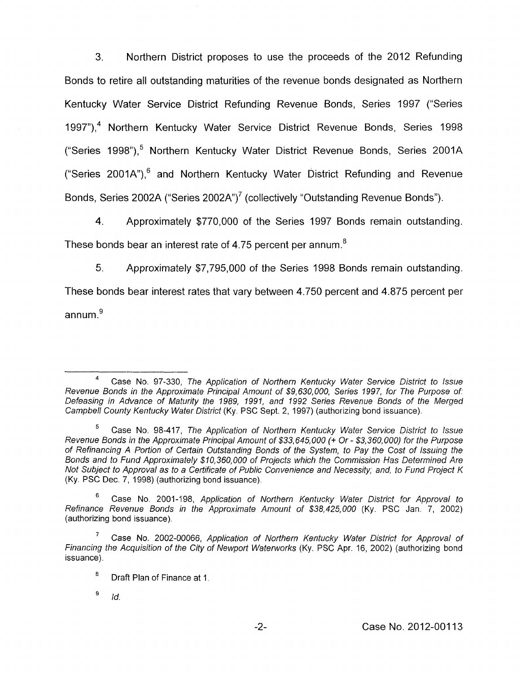**3.** Northern District proposes to use the proceeds of the 2012 Refunding Bonds to retire all outstanding maturities of the revenue bonds designated as Northern Kentucky Water Service District Refunding Revenue Bonds, Series 1997 ("Series 1997"),<sup>4</sup> Northern Kentucky Water Service District Revenue Bonds, Series 1998 ("Series 1998"),<sup>5</sup> Northern Kentucky Water District Revenue Bonds, Series 2001A ("Series 2001A"),<sup>6</sup> and Northern Kentucky Water District Refunding and Revenue Bonds, Series 2002A ("Series 2002A")<sup>7</sup> (collectively "Outstanding Revenue Bonds").

4. Approximately \$770,000 of the Series 1997 Bonds remain outstanding.

These bonds bear an interest rate of 4.75 percent per annum.<sup>8</sup>

*5.* Approximately \$7,795,000 of the Series 1998 Bonds remain outstanding.

These bonds bear interest rates that vary between 4.750 percent and 4.875 percent per annum $\frac{9}{2}$ 

*Id.*  **9** 

Case No. 97-330, *The Applicafion of Northern Kentucky Water Service District to Issue Revenue Bonds in the Approximate Principal Amount of \$9,630,000, Series 1997, for The Purpose of Defeasing in Advance of Maturity the 1989, 1991, and 1992 Series Revenue Bonds of the Merged Campbell County Kentucky Water District* (Ky. PSC Sept. 2, 1997) (authorizing bond issuance).

Case No. 98-417, *The Application of Northern Kentucky Water Service District to Issue Revenue Bonds in the Approximate Principal Amount of \$33,645,000* (+ *Or* - *\$3,360,000) for the Purpose of Refinancing A Portion of Certain Outstanding Bonds of the System, to Pay the Cost of Issuing the Bonds and to Fund Approximately \$10,360,000 of Projects which the Commission Has Determined Are Not Subject to Approval as to a Certificate of Public Convenience and Necessity, and, to Fund Project K*  (Ky. PSC Dee. 7, 1998) (authorizing bond issuance), **5** 

Case No. 2001-198, *Application of Northern Kentucky Water Disfrict for Approval to Refinance Revenue Bonds in the Approximate Amount of \$38,425,000* (Ky. PSC Jan. 7, 2002) (authorizing bond issuance) *6* 

Case No. 2002-00066, *Application of Northern Kentucky Water District for Approval of Financing the Acquisition of the City of Newporf Waterworks* (Ky. PSC Apr. 16, 2002) (authorizing bond issuance). 7

Draft Plan of Finance at 1. *8*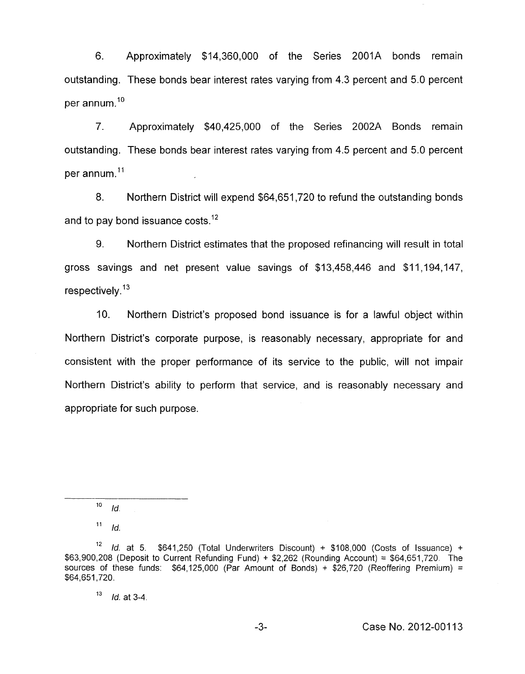6. Approximately \$14,360,000 of the Series 2001A bonds remain outstanding. These bonds bear interest rates varying from 4.3 percent and 5.0 percent per annum.<sup>10</sup>

7. Approximately \$40,425,000 of the Series 2002A Bonds remain outstanding. These bonds bear interest rates varying from 4.5 percent and 5.0 percent per annum. $11$ 

8. Northern District will expend \$64,651,720 to refund the outstanding bonds and to pay bond issuance costs. $12$ 

9. Northern District estimates that the proposed refinancing will result in total gross savings and net present value savings of \$13,458,446 and \$11,194,147, respectively. $13$ 

IO. Northern District's proposed bond issuance is for a lawful object within Northern District's corporate purpose, is reasonably necessary, appropriate for and consistent with the proper performance of its service to the public, will not impair Northern District's ability to perform that service, and is reasonably necessary and appropriate for such purpose.

 $10$  *Id.* 

 $11$  *Id.* 

<sup>&#</sup>x27;\* *Id.* at *5.* \$641,250 (Total Underwriters Discount) + \$108,000 (Costs of issuance) + \$63,900,208 (Deposit to Current Refunding Fund) + \$2,262 (Rounding Account) = \$64,651,720. The sources of these funds:  $$64,125,000$  (Par Amount of Bonds) +  $$26,720$  (Reoffering Premium) =  $$64,651,720$ .

l3 *Id.* at 3-4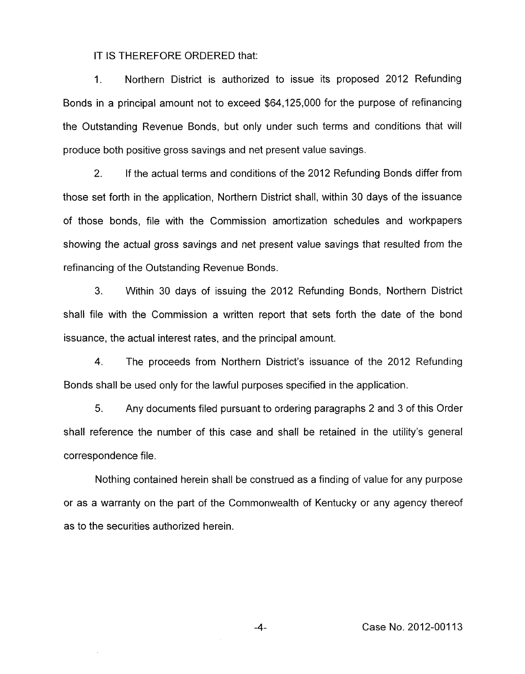## IT **IS** THEREFORE ORDERED that:

1. Northern District is authorized to issue its proposed 2012 Refunding Bonds in a principal amount not to exceed \$64,125,000 for the purpose of refinancing the Outstanding Revenue Bonds, but only under such terms and conditions that will produce both positive gross savings and net present value savings.

2. If the actual terms and conditions of the 2012 Refunding Bonds differ from those set forth in the application, Northern District shall, within 30 days of the issuance of those bonds, file with the Commission amortization schedules and workpapers showing the actual gross savings and net present value savings that resulted from the refinancing of the Outstanding Revenue Bonds.

**3.** Within 30 days of issuing the 2012 Refunding Bonds, Northern District shall file with the Commission a written report that sets forth the date of the bond issuance, the actual interest rates, and the principal amount.

**4.** The proceeds from Northern District's issuance of the 2012 Refunding Bonds shall be used only for the lawful purposes specified in the application.

5. Any documents filed pursuant to ordering paragraphs 2 and 3 of this Order shall reference the number of this case and shall be retained in the utility's general correspondence file.

Nothing contained herein shall be construed as a finding of value for any purpose or as a warranty on the part of the Commonwealth of Kentucky or any agency thereof as to the securities authorized herein.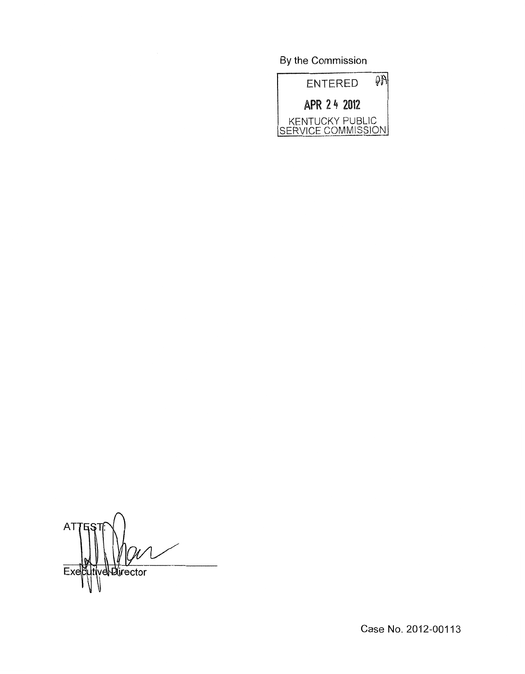By the Commission



AT velDirector Ex

Case No. 2012-00113